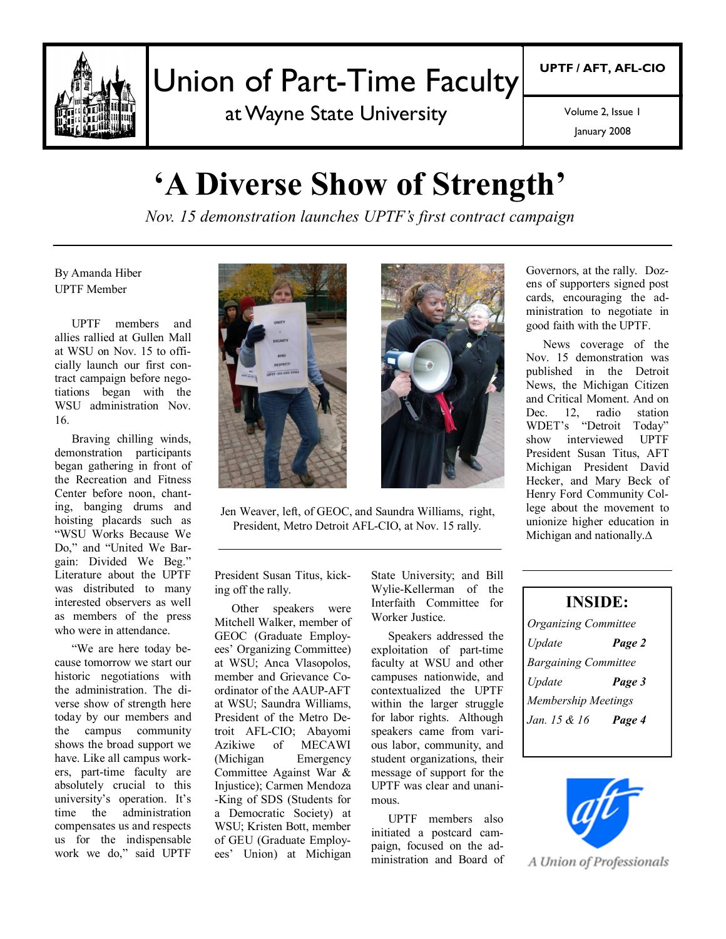

# Union of Part-Time Faculty

at Wayne State University

**UPTF / AFT, AFL-CIO**

Volume 2, Issue 1

January 2008

# **'A Diverse Show of Strength'**

*Nov. 15 demonstration launches UPTF's first contract campaign*

By Amanda Hiber UPTF Member

UPTF members and allies rallied at Gullen Mall at WSU on Nov. 15 to officially launch our first contract campaign before negotiations began with the WSU administration Nov. 16.

Braving chilling winds, demonstration participants began gathering in front of the Recreation and Fitness Center before noon, chanting, banging drums and hoisting placards such as "WSU Works Because We Do," and "United We Bargain: Divided We Beg." Literature about the UPTF was distributed to many interested observers as well as members of the press who were in attendance

"We are here today because tomorrow we start our historic negotiations with the administration. The diverse show of strength here today by our members and the campus community shows the broad support we have. Like all campus workers, part-time faculty are absolutely crucial to this university's operation. It's time the administration compensates us and respects us for the indispensable work we do," said UPTF





Jen Weaver, left, of GEOC, and Saundra Williams, right, President, Metro Detroit AFL-CIO, at Nov. 15 rally.

President Susan Titus, kicking off the rally.

Other speakers were Mitchell Walker, member of GEOC (Graduate Employees' Organizing Committee) at WSU; Anca Vlasopolos, member and Grievance Coordinator of the AAUP-AFT at WSU; Saundra Williams, President of the Metro Detroit AFL-CIO; Abayomi Azikiwe of MECAWI (Michigan Emergency Committee Against War & Injustice); Carmen Mendoza -King of SDS (Students for a Democratic Society) at WSU; Kristen Bott, member of GEU (Graduate Employees' Union) at Michigan

State University; and Bill Wylie-Kellerman of the Interfaith Committee for Worker Justice.

Speakers addressed the exploitation of part-time faculty at WSU and other campuses nationwide, and contextualized the UPTF within the larger struggle for labor rights. Although speakers came from various labor, community, and student organizations, their message of support for the UPTF was clear and unanimous.

UPTF members also initiated a postcard campaign, focused on the administration and Board of Governors, at the rally. Dozens of supporters signed post cards, encouraging the administration to negotiate in good faith with the UPTF.

News coverage of the Nov. 15 demonstration was published in the Detroit News, the Michigan Citizen and Critical Moment. And on Dec. 12, radio station WDET's "Detroit Today"<br>show interviewed UPTF interviewed President Susan Titus, AFT Michigan President David Hecker, and Mary Beck of Henry Ford Community College about the movement to unionize higher education in Michigan and nationally.∆

| <b>INSIDE:</b>              |        |  |
|-----------------------------|--------|--|
| <b>Organizing Committee</b> |        |  |
| Update                      | Page 2 |  |
| <b>Bargaining Committee</b> |        |  |
| Update                      | Page 3 |  |
| <b>Membership Meetings</b>  |        |  |
| Jan. 15 & 16                | Page 4 |  |



A Union of Professionals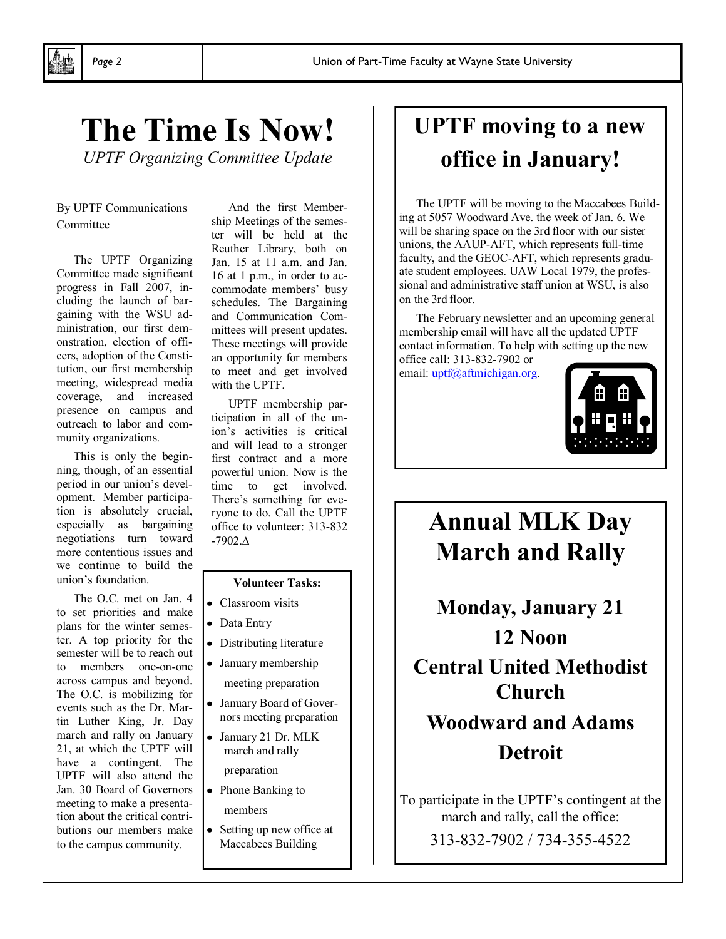# **The Time Is Now!**

*UPTF Organizing Committee Update* 

#### By UPTF Communications Committee

The UPTF Organizing Committee made significant progress in Fall 2007, including the launch of bargaining with the WSU administration, our first demonstration, election of officers, adoption of the Constitution, our first membership meeting, widespread media coverage, and increased presence on campus and outreach to labor and community organizations.

This is only the beginning, though, of an essential period in our union's development. Member participation is absolutely crucial, especially as bargaining negotiations turn toward more contentious issues and we continue to build the union's foundation.

The O.C. met on Jan. 4 to set priorities and make plans for the winter semester. A top priority for the semester will be to reach out to members one-on-one across campus and beyond. The O.C. is mobilizing for events such as the Dr. Martin Luther King, Jr. Day march and rally on January 21, at which the UPTF will have a contingent. The UPTF will also attend the Jan. 30 Board of Governors meeting to make a presentation about the critical contributions our members make to the campus community.

And the first Membership Meetings of the semester will be held at the Reuther Library, both on Jan. 15 at 11 a.m. and Jan. 16 at 1 p.m., in order to accommodate members' busy schedules. The Bargaining and Communication Committees will present updates. These meetings will provide an opportunity for members to meet and get involved with the UPTF.

UPTF membership participation in all of the union's activities is critical and will lead to a stronger first contract and a more powerful union. Now is the time to get involved. There's something for everyone to do. Call the UPTF office to volunteer: 313-832 -7902.∆

#### **Volunteer Tasks:**

- Classroom visits
- Data Entry
- Distributing literature
- January membership
- meeting preparation
- January Board of Governors meeting preparation
- January 21 Dr. MLK march and rally

preparation

- Phone Banking to members
- Setting up new office at Maccabees Building

### **UPTF moving to a new office in January!**

The UPTF will be moving to the Maccabees Building at 5057 Woodward Ave. the week of Jan. 6. We will be sharing space on the 3rd floor with our sister unions, the AAUP-AFT, which represents full-time faculty, and the GEOC-AFT, which represents graduate student employees. UAW Local 1979, the professional and administrative staff union at WSU, is also on the 3rd floor.

The February newsletter and an upcoming general membership email will have all the updated UPTF contact information. To help with setting up the new office call: 313-832-7902 or

email: uptf@aftmichigan.org.



### **Annual MLK Day March and Rally**

**Monday, January 21 12 Noon Central United Methodist Church Woodward and Adams Detroit**

To participate in the UPTF's contingent at the march and rally, call the office:

313-832-7902 / 734-355-4522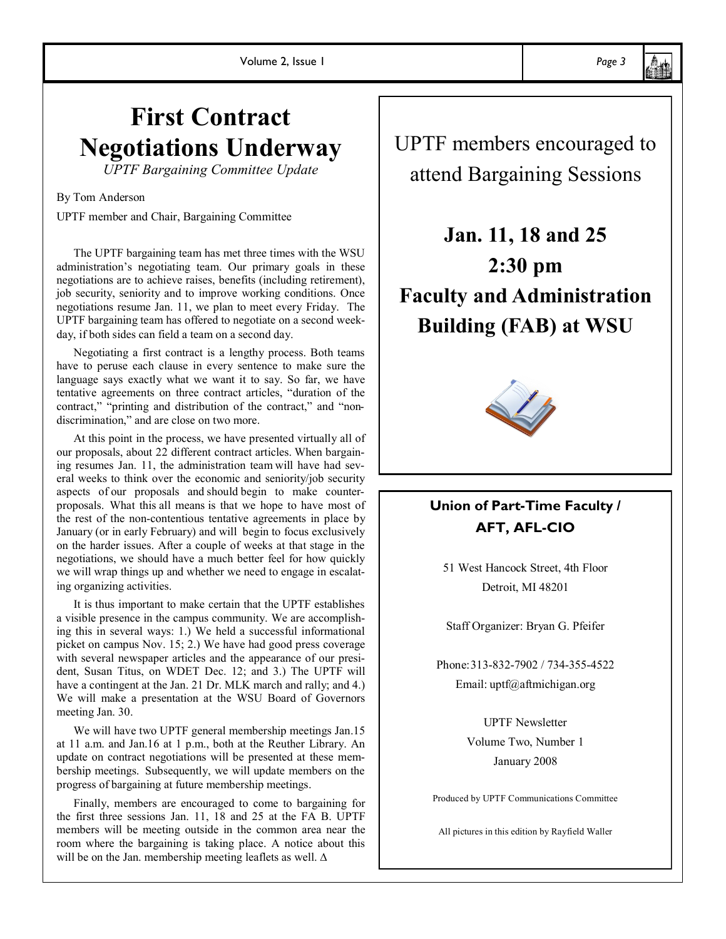### **First Contract Negotiations Underway**

*UPTF Bargaining Committee Update*

#### By Tom Anderson

UPTF member and Chair, Bargaining Committee

The UPTF bargaining team has met three times with the WSU administration's negotiating team. Our primary goals in these negotiations are to achieve raises, benefits (including retirement), job security, seniority and to improve working conditions. Once negotiations resume Jan. 11, we plan to meet every Friday. The UPTF bargaining team has offered to negotiate on a second weekday, if both sides can field a team on a second day.

Negotiating a first contract is a lengthy process. Both teams have to peruse each clause in every sentence to make sure the language says exactly what we want it to say. So far, we have tentative agreements on three contract articles, "duration of the contract," "printing and distribution of the contract," and "nondiscrimination," and are close on two more.

At this point in the process, we have presented virtually all of our proposals, about 22 different contract articles. When bargaining resumes Jan. 11, the administration team will have had several weeks to think over the economic and seniority/job security aspects of our proposals and should begin to make counterproposals. What this all means is that we hope to have most of the rest of the non-contentious tentative agreements in place by January (or in early February) and will begin to focus exclusively on the harder issues. After a couple of weeks at that stage in the negotiations, we should have a much better feel for how quickly we will wrap things up and whether we need to engage in escalating organizing activities.

It is thus important to make certain that the UPTF establishes a visible presence in the campus community. We are accomplishing this in several ways: 1.) We held a successful informational picket on campus Nov. 15; 2.) We have had good press coverage with several newspaper articles and the appearance of our president, Susan Titus, on WDET Dec. 12; and 3.) The UPTF will have a contingent at the Jan. 21 Dr. MLK march and rally; and 4.) We will make a presentation at the WSU Board of Governors meeting Jan. 30.

We will have two UPTF general membership meetings Jan.15 at 11 a.m. and Jan.16 at 1 p.m., both at the Reuther Library. An update on contract negotiations will be presented at these membership meetings. Subsequently, we will update members on the progress of bargaining at future membership meetings.

Finally, members are encouraged to come to bargaining for the first three sessions Jan. 11, 18 and 25 at the FA B. UPTF members will be meeting outside in the common area near the room where the bargaining is taking place. A notice about this will be on the Jan. membership meeting leaflets as well. ∆

UPTF members encouraged to attend Bargaining Sessions

**Jan. 11, 18 and 25 2:30 pm Faculty and Administration Building (FAB) at WSU**



### **Union of Part-Time Faculty / AFT, AFL-CIO**

51 West Hancock Street, 4th Floor Detroit, MI 48201

Staff Organizer: Bryan G. Pfeifer

Phone:313-832-7902 / 734-355-4522 Email: uptf@aftmichigan.org

> UPTF Newsletter Volume Two, Number 1

January 2008

Produced by UPTF Communications Committee

All pictures in this edition by Rayfield Waller